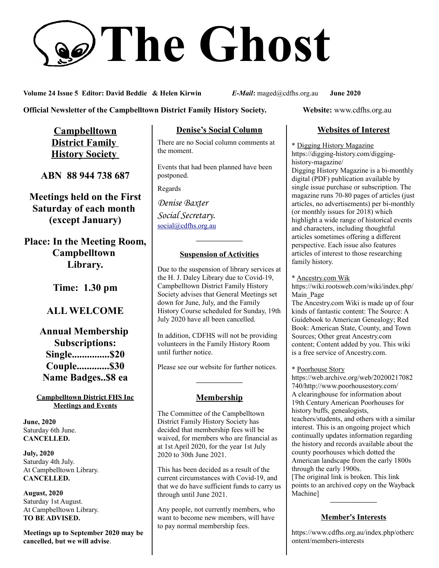# **The Ghost**

**Volume 24 Issue 5 Editor: David Beddie & Helen Kirwin** *E-Mail***:** maged@cdfhs.org.au **June 2020**

**Official Newsletter of the Campbelltown District Family History Society. Website: www.cdfhs.org.au** 

**Campbelltown District Family History Society** 

**ABN 88 944 738 687**

**Meetings held on the First Saturday of each month (except January)**

**Place: In the Meeting Room, Campbelltown Library.**

**Time: 1.30 pm**

# **ALL WELCOME**

**Annual Membership Subscriptions: Single...............\$20 Couple.............\$30 Name Badges..\$8 ea**

#### **Campbelltown District FHS Inc Meetings and Events**

**June, 2020** Saturday 6th June. **CANCELLED.**

**July, 2020** Saturday 4th July. At Campbelltown Library. **CANCELLED.**

**August, 2020** Saturday 1st August. At Campbelltown Library. **TO BE ADVISED.**

**Meetings up to September 2020 may be cancelled, but we will advise**.

## **Denise's Social Column**

There are no Social column comments at the moment.

Events that had been planned have been postponed.

Regards

*Denise Baxter Social Secretary.* [social@cdfhs.org.au](mailto:social@cdfhs.org.au)

## **——————– Suspension of Activities**

Due to the suspension of library services at the H. J. Daley Library due to Covid-19, Campbelltown District Family History Society advises that General Meetings set down for June, July, and the Family History Course scheduled for Sunday, 19th July 2020 have all been cancelled.

In addition, CDFHS will not be providing volunteers in the Family History Room until further notice.

Please see our website for further notices.

## **Membership**

**——————–**

The Committee of the Campbelltown District Family History Society has decided that membership fees will be waived, for members who are financial as at 1st April 2020, for the year 1st July 2020 to 30th June 2021.

This has been decided as a result of the current circumstances with Covid-19, and that we do have sufficient funds to carry us through until June 2021.

Any people, not currently members, who want to become new members, will have to pay normal membership fees.

## **Websites of Interest**

\* Digging History Magazine https://digging-history.com/digginghistory-magazine/ Digging History Magazine is a bi-monthly digital (PDF) publication available by single issue purchase or subscription. The magazine runs 70-80 pages of articles (just articles, no advertisements) per bi-monthly (or monthly issues for 2018) which highlight a wide range of historical events and characters, including thoughtful articles sometimes offering a different perspective. Each issue also features articles of interest to those researching family history.

#### \* Ancestry.com Wik

https://wiki.rootsweb.com/wiki/index.php/ Main\_Page

The Ancestry.com Wiki is made up of four kinds of fantastic content: The Source: A Guidebook to American Genealogy; Red Book: American State, County, and Town Sources; Other great Ancestry.com content; Content added by you. This wiki is a free service of Ancestry.com.

\* Poorhouse Story

https://web.archive.org/web/20200217082 740/http://www.poorhousestory.com/ A clearinghouse for information about 19th Century American Poorhouses for history buffs, genealogists, teachers/students, and others with a similar interest. This is an ongoing project which continually updates information regarding the history and records available about the county poorhouses which dotted the American landscape from the early 1800s through the early 1900s.

[The original link is broken. This link points to an archived copy on the Wayback Machine]

**——————–**

## **Member's Interests**

https://www.cdfhs.org.au/index.php/otherc ontent/members-interests